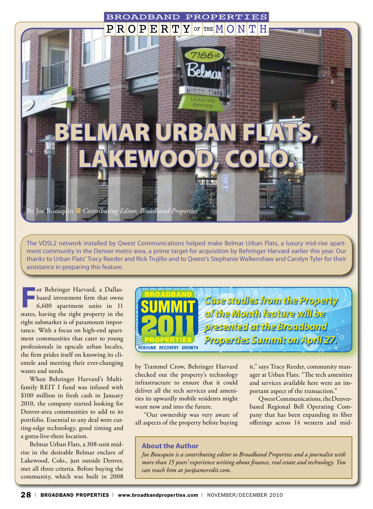

The VDSL2 network installed by Qwest Communications helped make Belmar Urban Flats, a luxury mid-rise apartment community in the Denver metro area, a prime target for acquisition by Behringer Harvard earlier this year. Our thanks to Urban Flats' Tracy Reeder and Rick Trujillo and to Qwest's Stephanie Walkenshaw and Carolyn Tyler for their assistance in preparing this feature.

**For Behringer Harvard, a Dallas-**<br> **For Behringer Based investment firm that owns**<br>
6,600 apartment units in 11<br> **For the set of the set of the set of the set of the set of the set of the set of the set of the set of the** based investment firm that owns states, having the right property in the right submarket is of paramount importance. With a focus on high-end apartment communities that cater to young professionals in upscale urban locales, the firm prides itself on knowing its clientele and meeting their ever-changing wants and needs.

When Behringer Harvard's Multifamily REIT I fund was infused with \$100 million in fresh cash in January 2010, the company started looking for Denver-area communities to add to its portfolio. Essential to any deal were cutting-edge technology, good timing and a gotta-live-there location.

Belmar Urban Flats, a 308-unit midrise in the desirable Belmar enclave of Lakewood, Colo., just outside Denver, met all three criteria. Before buying the community, which was built in 2008



by Trammel Crow, Behringer Harvard checked out the property's technology infrastructure to ensure that it could deliver all the tech services and amenities its upwardly mobile residents might want now and into the future.

"Our ownership was very aware of all aspects of the property before buying

it," says Tracy Reeder, community manager at Urban Flats. "The tech amenities and services available here were an important aspect of the transaction."

Qwest Communications, the Denverbased Regional Bell Operating Company that has been expanding its fiber offerings across 14 western and mid-

#### **About the Author**

*Joe Bousquin is a contributing editor to Broadband Properties and a journalist with more than 15 years' experience writing about finance, real estate and technology. You can reach him at joe@ameredit.com.*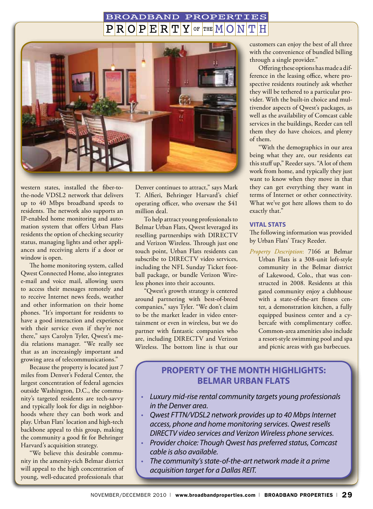#### **BROADBAND** PROPERTIES  $R[O]P[E]R]T$ Y OF THE  $M$ TH



western states, installed the fiber-tothe-node VDSL2 network that delivers up to 40 Mbps broadband speeds to residents. The network also supports an IP-enabled home monitoring and automation system that offers Urban Flats residents the option of checking security status, managing lights and other appliances and receiving alerts if a door or window is open.

The home monitoring system, called Qwest Connected Home, also integrates e-mail and voice mail, allowing users to access their messages remotely and to receive Internet news feeds, weather and other information on their home phones. "It's important for residents to have a good interaction and experience with their service even if they're not there," says Carolyn Tyler, Qwest's media relations manager. "We really see that as an increasingly important and growing area of telecommunications."

Because the property is located just 7 miles from Denver's Federal Center, the largest concentration of federal agencies outside Washington, D.C., the community's targeted residents are tech-savvy and typically look for digs in neighborhoods where they can both work and play. Urban Flats' location and high-tech backbone appeal to this group, making the community a good fit for Behringer Harvard's acquisition strategy.

"We believe this desirable community in the amenity-rich Belmar district will appeal to the high concentration of young, well-educated professionals that

Denver continues to attract," says Mark T. Alfieri, Behringer Harvard's chief operating officer, who oversaw the \$41 million deal.

To help attract young professionals to Belmar Urban Flats, Qwest leveraged its reselling partnerships with DIRECTV and Verizon Wireless. Through just one touch point, Urban Flats residents can subscribe to DIRECTV video services, including the NFL Sunday Ticket football package, or bundle Verizon Wireless phones into their accounts.

"Qwest's growth strategy is centered around partnering with best-of-breed companies," says Tyler. "We don't claim to be the market leader in video entertainment or even in wireless, but we do partner with fantastic companies who are, including DIRECTV and Verizon Wireless. The bottom line is that our

customers can enjoy the best of all three with the convenience of bundled billing through a single provider."

Offering these options has made a difference in the leasing office, where prospective residents routinely ask whether they will be tethered to a particular provider. With the built-in choice and multivendor aspects of Qwest's packages, as well as the availability of Comcast cable services in the buildings, Reeder can tell them they do have choices, and plenty of them.

"With the demographics in our area being what they are, our residents eat this stuff up," Reeder says. "A lot of them work from home, and typically they just want to know when they move in that they can get everything they want in terms of Internet or other connectivity. What we've got here allows them to do exactly that."

#### **Vital Stats**

The following information was provided by Urban Flats' Tracy Reeder.

*Property Description*: 7166 at Belmar Urban Flats is a 308-unit loft-style community in the Belmar district of Lakewood, Colo., that was constructed in 2008. Residents at this gated community enjoy a clubhouse with a state-of-the-art fitness center, a demonstration kitchen, a fully equipped business center and a cybercafe with complimentary coffee. Common-area amenities also include a resort-style swimming pool and spa and picnic areas with gas barbecues.

# **Property of the Month Highlights: Belmar Urban Flats**

- *Luxury mid-rise rental community targets young professionals in the Denver area.*
- *Qwest FTTN/VDSL2 network provides up to 40 Mbps Internet access, phone and home monitoring services. Qwest resells DIRECTV video services and Verizon Wireless phone services.*
- *Provider choice: Though Qwest has preferred status, Comcast cable is also available.*
- *The community's state-of-the-art network made it a prime acquisition target for a Dallas REIT.*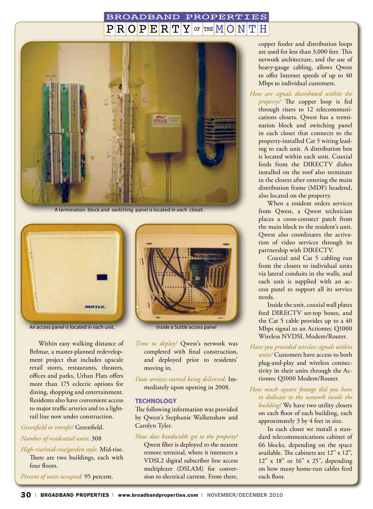### **BROADBAND PROPERTIES**  $R$   $Q$   $P$   $E$   $R$   $T$   $Y$  of the  $M$  $Q$ H



A termination block and switching panel is located in each closet.



An access panel is located in each unit. Inside a Suttle access panel

Within easy walking distance of Belmar, a master-planned redevelopment project that includes upscale retail stores, restaurants, theaters, offices and parks, Urban Flats offers more than 175 eclectic options for dining, shopping and entertainment. Residents also have convenient access to major traffic arteries and to a lightrail line now under construction.

## *Greenfield or retrofit?* Greenfield.

#### *Number of residential units:* 308

*High-rise/mid-rise/garden style:* Mid-rise. There are two buildings, each with four floors.

*Percent of units occupied:* 95 percent.



- *Time to deploy?* Qwest's network was completed with final construction, and deployed prior to residents' moving in.
- *Date services started being delivered:* Immediately upon opening in 2008.

#### **Technology**

The following information was provided by Qwest's Stephanie Walkenshaw and Carolyn Tyler.

#### *How does bandwidth get to the property?*

Qwest fiber is deployed to the nearest remote terminal, where it intersects a VDSL2 digital subscriber line access multiplexer (DSLAM) for conversion to electrical current. From there,

copper feeder and distribution loops are used for less than 3,000 feet. This network architecture, and the use of heavy-gauge cabling, allows Qwest to offer Internet speeds of up to 40 Mbps to individual customers.

*How are signals distributed within the property?* The copper loop is fed through risers to 12 telecommunications closets. Qwest has a termination block and switching panel in each closet that connects to the property-installed Cat 5 wiring leading to each unit. A distribution box is located within each unit. Coaxial feeds from the DIRECTV dishes installed on the roof also terminate in the closets after entering the main distribution frame (MDF) headend, also located on the property.

When a resident orders services from Qwest, a Qwest technician places a cross-connect patch from the main block to the resident's unit. Qwest also coordinates the activation of video services through its partnership with DIRECTV.

Coaxial and Cat 5 cabling run from the closets to individual units via lateral conduits in the walls, and each unit is supplied with an access panel to support all its service needs.

Inside the unit, coaxial wall plates feed DIRECTV set-top boxes, and the Cat 5 cable provides up to a 40 Mbps signal to an Actiontec Q1000 Wireless NVDSL Modem/Router.

- *Have you provided wireless signals within units?* Customers have access to both plug-and-play and wireless connectivity in their units through the Actiontec Q1000 Modem/Router.
- *How much square footage did you have to dedicate to the network inside the building?* We have two utility closets on each floor of each building, each approximately 3 by 4 feet in size.

In each closet we install a standard telecommunications cabinet of 66 blocks, depending on the space available. The cabinets are 12" x 12", 12" x 18" or 16" x 25", depending on how many home-run cables feed each floor.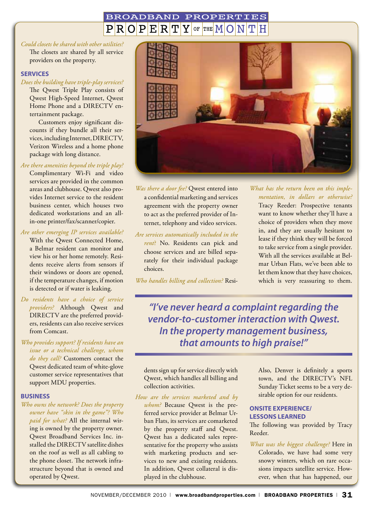#### **BROADBAND** PROPERTIES  $\bf Y$ OF THE  $M/O$  $PIR[O]P$  $E$ <sub>R<sup>T</sup></sub> N

#### *Could closets be shared with other utilities?*

The closets are shared by all service providers on the property.

#### **Services**

*Does the building have triple-play services?* The Qwest Triple Play consists of Qwest High-Speed Internet, Qwest Home Phone and a DIRECTV entertainment package.

Customers enjoy significant discounts if they bundle all their services, including Internet, DIRECTV, Verizon Wireless and a home phone package with long distance.

#### *Are there amenities beyond the triple play?*

Complimentary Wi-Fi and video services are provided in the common areas and clubhouse. Qwest also provides Internet service to the resident business center, which houses two dedicated workstations and an allin-one printer/fax/scanner/copier.

#### *Are other emerging IP services available?* With the Qwest Connected Home,

a Belmar resident can monitor and view his or her home remotely. Residents receive alerts from sensors if their windows or doors are opened, if the temperature changes, if motion is detected or if water is leaking.

*Do residents have a choice of service providers?* Although Qwest and DIRECTV are the preferred providers, residents can also receive services from Comcast.

#### *Who provides support? If residents have an issue or a technical challenge, whom do they call?* Customers contact the Qwest dedicated team of white-glove customer service representatives that support MDU properties.

#### **Business**

*Who owns the network? Does the property owner have "skin in the game"? Who paid for what?* All the internal wiring is owned by the property owner. Qwest Broadband Services Inc. installed the DIRECTV satellite dishes on the roof as well as all cabling to the phone closet. The network infrastructure beyond that is owned and operated by Qwest.



*Was there a door fee?* Qwest entered into a confidential marketing and services agreement with the property owner to act as the preferred provider of Internet, telephony and video services.

#### *Are services automatically included in the*

*rent*? No. Residents can pick and choose services and are billed separately for their individual package choices.

*Who handles billing and collection?* Resi-

### *What has the return been on this implementation, in dollars or otherwise?*

Tracy Reeder: Prospective tenants want to know whether they'll have a choice of providers when they move in, and they are usually hesitant to lease if they think they will be forced to take service from a single provider. With all the services available at Belmar Urban Flats, we've been able to let them know that they have choices, which is very reassuring to them.

*"I've never heard a complaint regarding the vendor-to-customer interaction with Qwest. In the property management business, that amounts to high praise!"*

dents sign up for service directly with Qwest, which handles all billing and collection activities.

*How are the services marketed and by whom?* Because Qwest is the preferred service provider at Belmar Urban Flats, its services are comarketed by the property staff and Qwest. Qwest has a dedicated sales representative for the property who assists with marketing products and services to new and existing residents. In addition, Qwest collateral is displayed in the clubhouse.

Also, Denver is definitely a sports town, and the DIRECTV's NFL Sunday Ticket seems to be a very desirable option for our residents.

#### **Onsite Experience/ Lessons Learned**

The following was provided by Tracy Reeder.

*What was the biggest challenge?* Here in Colorado, we have had some very snowy winters, which on rare occasions impacts satellite service. However, when that has happened, our